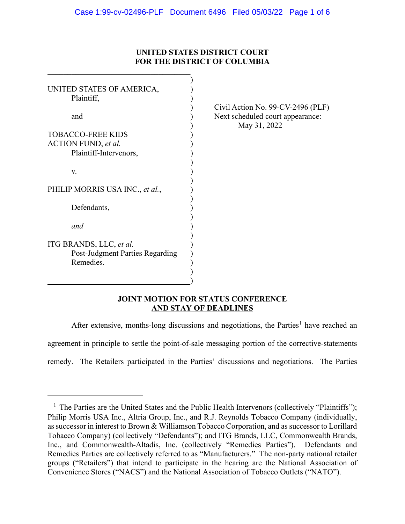# **UNITED STATES DISTRICT COURT FOR THE DISTRICT OF COLUMBIA**

| UNITED STATES OF AMERICA,              |                                                                                       |
|----------------------------------------|---------------------------------------------------------------------------------------|
| Plaintiff,                             |                                                                                       |
| and                                    | Civil Action No. 99-CV-2496 (PLF)<br>Next scheduled court appearance:<br>May 31, 2022 |
| <b>TOBACCO-FREE KIDS</b>               |                                                                                       |
|                                        |                                                                                       |
| <b>ACTION FUND</b> , et al.            |                                                                                       |
| Plaintiff-Intervenors,                 |                                                                                       |
|                                        |                                                                                       |
| V.                                     |                                                                                       |
|                                        |                                                                                       |
| PHILIP MORRIS USA INC., et al.,        |                                                                                       |
|                                        |                                                                                       |
| Defendants,                            |                                                                                       |
|                                        |                                                                                       |
| and                                    |                                                                                       |
|                                        |                                                                                       |
| ITG BRANDS, LLC, et al.                |                                                                                       |
|                                        |                                                                                       |
| <b>Post-Judgment Parties Regarding</b> |                                                                                       |
| Remedies.                              |                                                                                       |
|                                        |                                                                                       |
|                                        |                                                                                       |
|                                        |                                                                                       |

# **JOINT MOTION FOR STATUS CONFERENCE AND STAY OF DEADLINES**

After extensive, months-long discussions and negotiations, the Parties<sup>[1](#page-0-0)</sup> have reached an agreement in principle to settle the point-of-sale messaging portion of the corrective-statements remedy. The Retailers participated in the Parties' discussions and negotiations. The Parties

<span id="page-0-0"></span><sup>&</sup>lt;sup>1</sup> The Parties are the United States and the Public Health Intervenors (collectively "Plaintiffs"); Philip Morris USA Inc., Altria Group, Inc., and R.J. Reynolds Tobacco Company (individually, as successor in interest to Brown & Williamson Tobacco Corporation, and as successor to Lorillard Tobacco Company) (collectively "Defendants"); and ITG Brands, LLC, Commonwealth Brands, Inc., and Commonwealth-Altadis, Inc. (collectively "Remedies Parties"). Defendants and Remedies Parties are collectively referred to as "Manufacturers." The non-party national retailer groups ("Retailers") that intend to participate in the hearing are the National Association of Convenience Stores ("NACS") and the National Association of Tobacco Outlets ("NATO").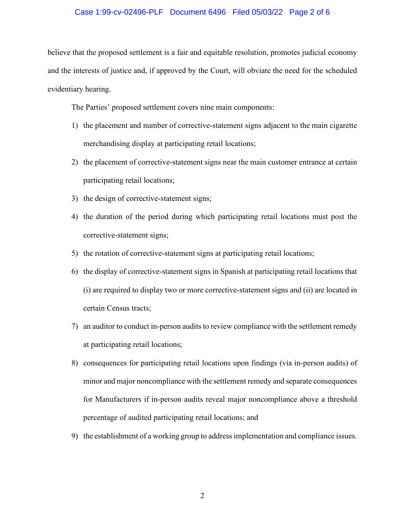## Case 1:99-cv-02496-PLF Document 6496 Filed 05/03/22 Page 2 of 6

believe that the proposed settlement is a fair and equitable resolution, promotes judicial economy and the interests of justice and, if approved by the Court, will obviate the need for the scheduled evidentiary hearing.

The Parties' proposed settlement covers nine main components:

- 1) the placement and number of corrective-statement signs adjacent to the main cigarette merchandising display at participating retail locations;
- 2) the placement of corrective-statement signs near the main customer entrance at certain participating retail locations;
- 3) the design of corrective-statement signs;
- 4) the duration of the period during which participating retail locations must post the corrective-statement signs;
- 5) the rotation of corrective-statement signs at participating retail locations;
- 6) the display of corrective-statement signs in Spanish at participating retail locations that (i) are required to display two or more corrective-statement signs and (ii) are located in certain Census tracts;
- 7) an auditor to conduct in-person audits to review compliance with the settlement remedy at participating retail locations;
- 8) consequences for participating retail locations upon findings (via in-person audits) of minor and major noncompliance with the settlement remedy and separate consequences for Manufacturers if in-person audits reveal major noncompliance above a threshold percentage of audited participating retail locations; and
- 9) the establishment of a working group to address implementation and compliance issues.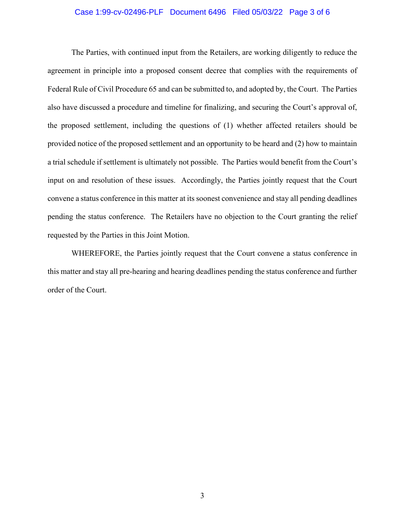## Case 1:99-cv-02496-PLF Document 6496 Filed 05/03/22 Page 3 of 6

The Parties, with continued input from the Retailers, are working diligently to reduce the agreement in principle into a proposed consent decree that complies with the requirements of Federal Rule of Civil Procedure 65 and can be submitted to, and adopted by, the Court. The Parties also have discussed a procedure and timeline for finalizing, and securing the Court's approval of, the proposed settlement, including the questions of (1) whether affected retailers should be provided notice of the proposed settlement and an opportunity to be heard and (2) how to maintain a trial schedule if settlement is ultimately not possible. The Parties would benefit from the Court's input on and resolution of these issues. Accordingly, the Parties jointly request that the Court convene a status conference in this matter at its soonest convenience and stay all pending deadlines pending the status conference. The Retailers have no objection to the Court granting the relief requested by the Parties in this Joint Motion.

WHEREFORE, the Parties jointly request that the Court convene a status conference in this matter and stay all pre-hearing and hearing deadlines pending the status conference and further order of the Court.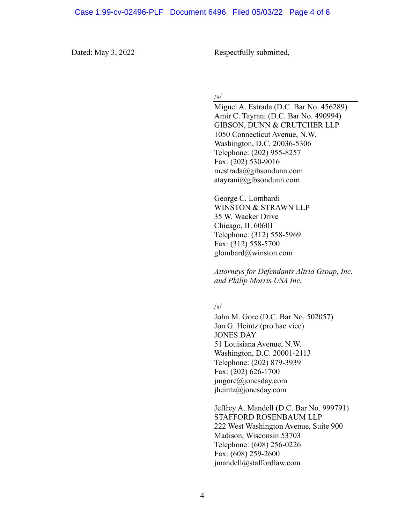Dated: May 3, 2022 Respectfully submitted,

 $\sqrt{s}$ 

Miguel A. Estrada (D.C. Bar No. 456289) Amir C. Tayrani (D.C. Bar No. 490994) GIBSON, DUNN & CRUTCHER LLP 1050 Connecticut Avenue, N.W. Washington, D.C. 20036-5306 Telephone: (202) 955-8257 Fax: (202) 530-9016 [mestrada@gibsondunn.com](mailto:mestrada@gibsondunn.com) atayrani@gibsondunn.com

George C. Lombardi WINSTON & STRAWN LLP 35 W. Wacker Drive Chicago, IL 60601 Telephone: (312) 558-5969 Fax: (312) 558-5700 glombard@winston.com

*Attorneys for Defendants Altria Group, Inc. and Philip Morris USA Inc.*

#### $\sqrt{s}$

John M. Gore (D.C. Bar No. 502057) Jon G. Heintz (pro hac vice) JONES DAY 51 Louisiana Avenue, N.W. Washington, D.C. 20001-2113 Telephone: (202) 879-3939 Fax: (202) 626-1700 jmgore@jonesday.com jheintz@jonesday.com

Jeffrey A. Mandell (D.C. Bar No. 999791) STAFFORD ROSENBAUM LLP 222 West Washington Avenue, Suite 900 Madison, Wisconsin 53703 Telephone: (608) 256-0226 Fax: (608) 259-2600 [jmandell@staffordlaw.com](mailto:jmandell@staffordlaw.com)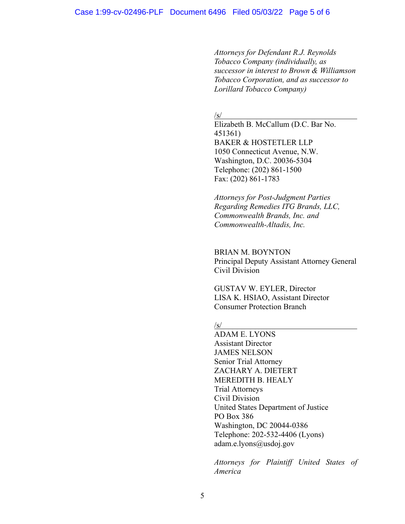*Attorneys for Defendant R.J. Reynolds Tobacco Company (individually, as successor in interest to Brown & Williamson Tobacco Corporation, and as successor to Lorillard Tobacco Company)*

/s/

Elizabeth B. McCallum (D.C. Bar No. 451361) BAKER & HOSTETLER LLP 1050 Connecticut Avenue, N.W. Washington, D.C. 20036-5304 Telephone: (202) 861-1500 Fax: (202) 861-1783

*Attorneys for Post-Judgment Parties Regarding Remedies ITG Brands, LLC, Commonwealth Brands, Inc. and Commonwealth-Altadis, Inc.*

### BRIAN M. BOYNTON

Principal Deputy Assistant Attorney General Civil Division

GUSTAV W. EYLER, Director LISA K. HSIAO, Assistant Director Consumer Protection Branch

#### /s/

ADAM E. LYONS Assistant Director JAMES NELSON Senior Trial Attorney ZACHARY A. DIETERT MEREDITH B. HEALY Trial Attorneys Civil Division United States Department of Justice PO Box 386 Washington, DC 20044-0386 Telephone: 202-532-4406 (Lyons) adam.e.lyons@usdoj.gov

*Attorneys for Plaintiff United States of America*